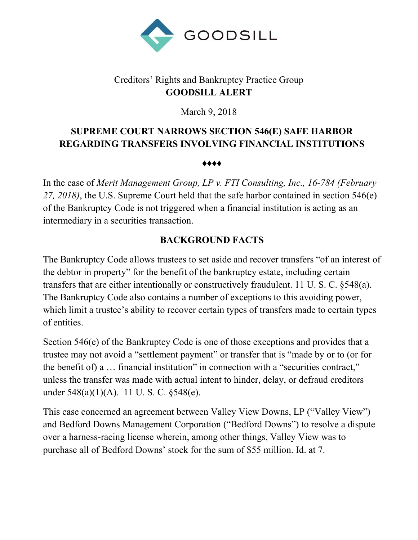

# Creditors' Rights and Bankruptcy Practice Group **GOODSILL ALERT**

March 9, 2018

# **SUPREME COURT NARROWS SECTION 546(E) SAFE HARBOR REGARDING TRANSFERS INVOLVING FINANCIAL INSTITUTIONS**

♦♦♦♦

In the case of *Merit Management Group, LP v. FTI Consulting, Inc., 16-784 (February 27, 2018)*, the U.S. Supreme Court held that the safe harbor contained in section 546(e) of the Bankruptcy Code is not triggered when a financial institution is acting as an intermediary in a securities transaction.

## **BACKGROUND FACTS**

The Bankruptcy Code allows trustees to set aside and recover transfers "of an interest of the debtor in property" for the benefit of the bankruptcy estate, including certain transfers that are either intentionally or constructively fraudulent. 11 U. S. C. §548(a). The Bankruptcy Code also contains a number of exceptions to this avoiding power, which limit a trustee's ability to recover certain types of transfers made to certain types of entities.

Section 546(e) of the Bankruptcy Code is one of those exceptions and provides that a trustee may not avoid a "settlement payment" or transfer that is "made by or to (or for the benefit of) a … financial institution" in connection with a "securities contract," unless the transfer was made with actual intent to hinder, delay, or defraud creditors under 548(a)(1)(A). 11 U.S.C. §548(e).

This case concerned an agreement between Valley View Downs, LP ("Valley View") and Bedford Downs Management Corporation ("Bedford Downs") to resolve a dispute over a harness-racing license wherein, among other things, Valley View was to purchase all of Bedford Downs' stock for the sum of \$55 million. Id. at 7.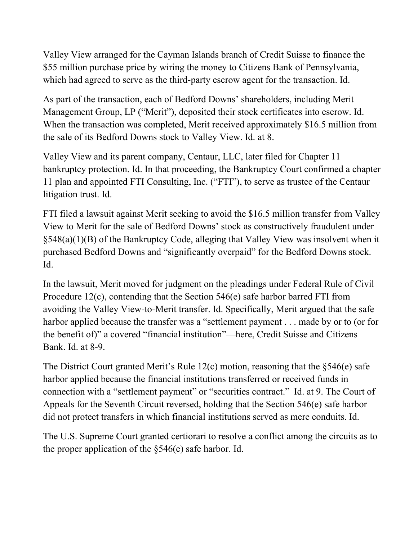Valley View arranged for the Cayman Islands branch of Credit Suisse to finance the \$55 million purchase price by wiring the money to Citizens Bank of Pennsylvania, which had agreed to serve as the third-party escrow agent for the transaction. Id.

As part of the transaction, each of Bedford Downs' shareholders, including Merit Management Group, LP ("Merit"), deposited their stock certificates into escrow. Id. When the transaction was completed, Merit received approximately \$16.5 million from the sale of its Bedford Downs stock to Valley View. Id. at 8.

Valley View and its parent company, Centaur, LLC, later filed for Chapter 11 bankruptcy protection. Id. In that proceeding, the Bankruptcy Court confirmed a chapter 11 plan and appointed FTI Consulting, Inc. ("FTI"), to serve as trustee of the Centaur litigation trust. Id.

FTI filed a lawsuit against Merit seeking to avoid the \$16.5 million transfer from Valley View to Merit for the sale of Bedford Downs' stock as constructively fraudulent under §548(a)(1)(B) of the Bankruptcy Code, alleging that Valley View was insolvent when it purchased Bedford Downs and "significantly overpaid" for the Bedford Downs stock. Id.

In the lawsuit, Merit moved for judgment on the pleadings under Federal Rule of Civil Procedure 12(c), contending that the Section 546(e) safe harbor barred FTI from avoiding the Valley View-to-Merit transfer. Id. Specifically, Merit argued that the safe harbor applied because the transfer was a "settlement payment . . . made by or to (or for the benefit of)" a covered "financial institution"—here, Credit Suisse and Citizens Bank. Id. at 8-9.

The District Court granted Merit's Rule  $12(c)$  motion, reasoning that the §546(e) safe harbor applied because the financial institutions transferred or received funds in connection with a "settlement payment" or "securities contract." Id. at 9. The Court of Appeals for the Seventh Circuit reversed, holding that the Section 546(e) safe harbor did not protect transfers in which financial institutions served as mere conduits. Id.

The U.S. Supreme Court granted certiorari to resolve a conflict among the circuits as to the proper application of the §546(e) safe harbor. Id.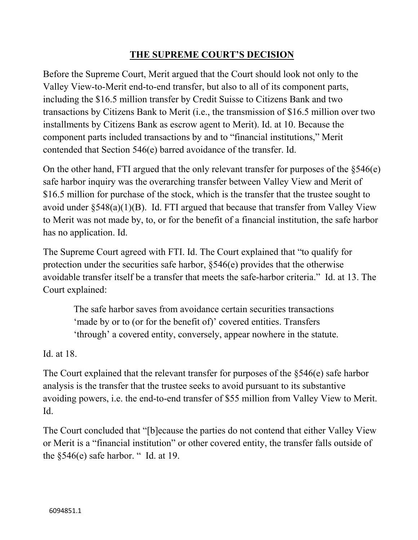### **THE SUPREME COURT'S DECISION**

Before the Supreme Court, Merit argued that the Court should look not only to the Valley View-to-Merit end-to-end transfer, but also to all of its component parts, including the \$16.5 million transfer by Credit Suisse to Citizens Bank and two transactions by Citizens Bank to Merit (i.e., the transmission of \$16.5 million over two installments by Citizens Bank as escrow agent to Merit). Id. at 10. Because the component parts included transactions by and to "financial institutions," Merit contended that Section 546(e) barred avoidance of the transfer. Id.

On the other hand, FTI argued that the only relevant transfer for purposes of the §546(e) safe harbor inquiry was the overarching transfer between Valley View and Merit of \$16.5 million for purchase of the stock, which is the transfer that the trustee sought to avoid under  $\S 548(a)(1)(B)$ . Id. FTI argued that because that transfer from Valley View to Merit was not made by, to, or for the benefit of a financial institution, the safe harbor has no application. Id.

The Supreme Court agreed with FTI. Id. The Court explained that "to qualify for protection under the securities safe harbor, §546(e) provides that the otherwise avoidable transfer itself be a transfer that meets the safe-harbor criteria." Id. at 13. The Court explained:

The safe harbor saves from avoidance certain securities transactions 'made by or to (or for the benefit of)' covered entities. Transfers 'through' a covered entity, conversely, appear nowhere in the statute.

Id. at 18.

The Court explained that the relevant transfer for purposes of the §546(e) safe harbor analysis is the transfer that the trustee seeks to avoid pursuant to its substantive avoiding powers, i.e. the end-to-end transfer of \$55 million from Valley View to Merit. Id.

The Court concluded that "[b]ecause the parties do not contend that either Valley View or Merit is a "financial institution" or other covered entity, the transfer falls outside of the  $§546(e)$  safe harbor. " Id. at 19.